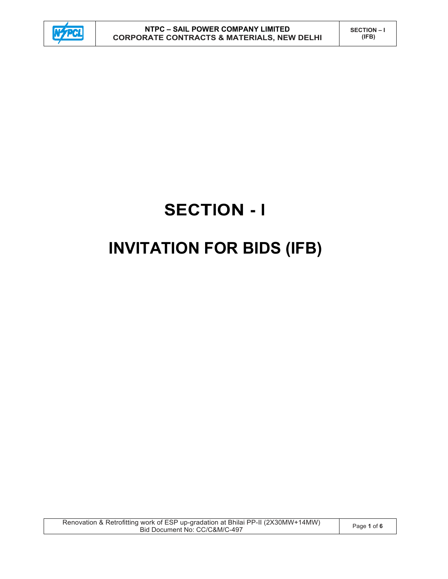

# **SECTION - I INVITATION FOR BIDS (IFB)**

Renovation & Retrofitting work of ESP up-gradation at Bhilai PP-II (2X30MW+14MW) WOR OF ESP up-gradation at Brillar PP-in (2X30MW+14MW) Page 1 of 6<br>Bid Document No: CC/C&M/C-497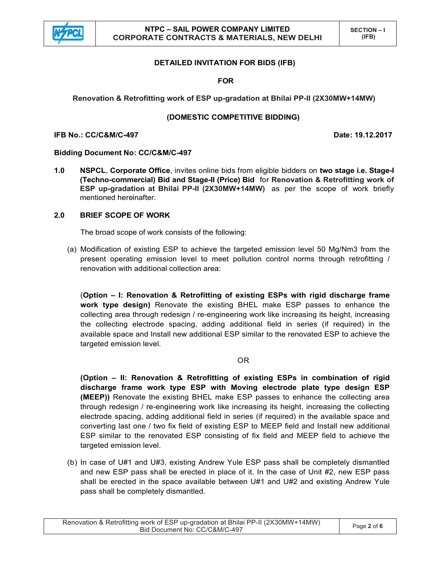

## **DETAILED INVITATION FOR BIDS (IFB)**

**FOR** 

**Renovation & Retrofitting work of ESP up-gradation at Bhilai PP-II (2X30MW+14MW)** 

## **(DOMESTIC COMPETITIVE BIDDING)**

**IFB No.: CC/C&M/C-497 Date: 19.12.2017** 

## **Bidding Document No: CC/C&M/C-497**

**1.0 NSPCL**, **Corporate Office**, invites online bids from eligible bidders on **two stage i.e. Stage-I (Techno-commercial) Bid and Stage-II (Price) Bid** for **Renovation & Retrofitting work of ESP up-gradation at Bhilai PP-II (2X30MW+14MW)** as per the scope of work briefly mentioned hereinafter.

## **2.0 BRIEF SCOPE OF WORK**

The broad scope of work consists of the following:

(a) Modification of existing ESP to achieve the targeted emission level 50 Mg/Nm3 from the present operating emission level to meet pollution control norms through retrofitting / renovation with additional collection area:

(**Option – I: Renovation & Retrofitting of existing ESPs with rigid discharge frame work type design)** Renovate the existing BHEL make ESP passes to enhance the collecting area through redesign / re-engineering work like increasing its height, increasing the collecting electrode spacing, adding additional field in series (if required) in the available space and Install new additional ESP similar to the renovated ESP to achieve the targeted emission level.

## OR

**(Option – II: Renovation & Retrofitting of existing ESPs in combination of rigid discharge frame work type ESP with Moving electrode plate type design ESP (MEEP))** Renovate the existing BHEL make ESP passes to enhance the collecting area through redesign / re-engineering work like increasing its height, increasing the collecting electrode spacing, adding additional field in series (if required) in the available space and converting last one / two fix field of existing ESP to MEEP field and Install new additional ESP similar to the renovated ESP consisting of fix field and MEEP field to achieve the targeted emission level.

(b) In case of U#1 and U#3, existing Andrew Yule ESP pass shall be completely dismantled and new ESP pass shall be erected in place of it. In the case of Unit #2, new ESP pass shall be erected in the space available between U#1 and U#2 and existing Andrew Yule pass shall be completely dismantled.

Renovation & Retrofitting work of ESP up-gradation at Bhilai PP-II (2X30MW+14MW) WOR OF ESP up-gradation at Brillar PP-in (2X30MW+14MW) Page 2 of 6<br>Bid Document No: CC/C&M/C-497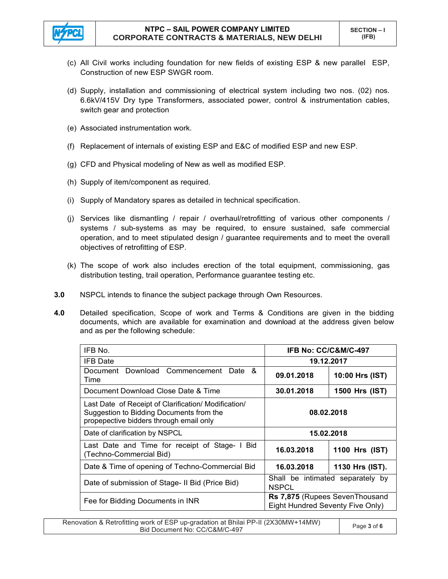

- (c) All Civil works including foundation for new fields of existing ESP & new parallel ESP, Construction of new ESP SWGR room.
- (d) Supply, installation and commissioning of electrical system including two nos. (02) nos. 6.6kV/415V Dry type Transformers, associated power, control & instrumentation cables, switch gear and protection
- (e) Associated instrumentation work.
- (f) Replacement of internals of existing ESP and E&C of modified ESP and new ESP.
- (g) CFD and Physical modeling of New as well as modified ESP.
- (h) Supply of item/component as required.
- (i) Supply of Mandatory spares as detailed in technical specification.
- (j) Services like dismantling / repair / overhaul/retrofitting of various other components / systems / sub-systems as may be required, to ensure sustained, safe commercial operation, and to meet stipulated design / guarantee requirements and to meet the overall objectives of retrofitting of ESP.
- (k) The scope of work also includes erection of the total equipment, commissioning, gas distribution testing, trail operation, Performance guarantee testing etc.
- **3.0** NSPCL intends to finance the subject package through Own Resources.
- **4.0** Detailed specification, Scope of work and Terms & Conditions are given in the bidding documents, which are available for examination and download at the address given below and as per the following schedule:

| IFB No.                                                                                                                                     | IFB No: CC/C&M/C-497                                               |                 |
|---------------------------------------------------------------------------------------------------------------------------------------------|--------------------------------------------------------------------|-----------------|
| <b>IFB</b> Date                                                                                                                             | 19.12.2017                                                         |                 |
| Document Download Commencement<br>Date &<br>Time                                                                                            | 09.01.2018                                                         | 10:00 Hrs (IST) |
| Document Download Close Date & Time                                                                                                         | 30.01.2018                                                         | 1500 Hrs (IST)  |
| Last Date of Receipt of Clarification/ Modification/<br>Suggestion to Bidding Documents from the<br>propepective bidders through email only | 08.02.2018                                                         |                 |
| Date of clarification by NSPCL                                                                                                              | 15.02.2018                                                         |                 |
| Last Date and Time for receipt of Stage- I Bid<br>(Techno-Commercial Bid)                                                                   | 16.03.2018                                                         | 1100 Hrs (IST)  |
| Date & Time of opening of Techno-Commercial Bid                                                                                             | 16.03.2018                                                         | 1130 Hrs (IST). |
| Date of submission of Stage- II Bid (Price Bid)                                                                                             | Shall be intimated separately by<br><b>NSPCL</b>                   |                 |
| Fee for Bidding Documents in INR                                                                                                            | Rs 7,875 (Rupees SevenThousand<br>Eight Hundred Seventy Five Only) |                 |

Renovation & Retrofitting work of ESP up-gradation at Bhilai PP-II (2X30MW+14MW) work of ESP up-gradation at Brillar PP-in (2X30MW+14MW) Page **3** of **6**<br>Bid Document No: CC/C&M/C-497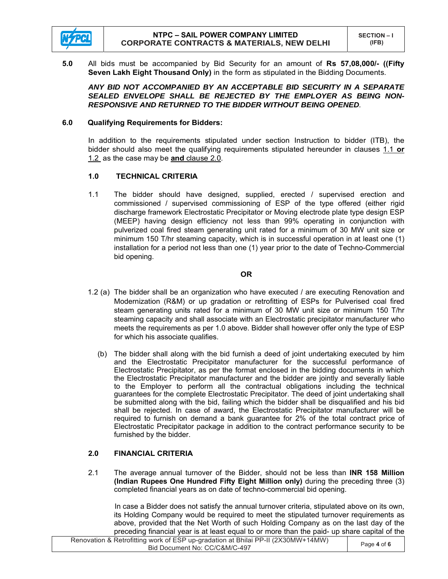

**5.0** All bids must be accompanied by Bid Security for an amount of **Rs 57,08,000/- ((Fifty Seven Lakh Eight Thousand Only)** in the form as stipulated in the Bidding Documents.

 *ANY BID NOT ACCOMPANIED BY AN ACCEPTABLE BID SECURITY IN A SEPARATE SEALED ENVELOPE SHALL BE REJECTED BY THE EMPLOYER AS BEING NON-RESPONSIVE AND RETURNED TO THE BIDDER WITHOUT BEING OPENED.* 

## **6.0 Qualifying Requirements for Bidders:**

In addition to the requirements stipulated under section Instruction to bidder (ITB), the bidder should also meet the qualifying requirements stipulated hereunder in clauses 1.1 **or** 1.2 as the case may be **and** clause 2.0.

## **1.0 TECHNICAL CRITERIA**

1.1 The bidder should have designed, supplied, erected / supervised erection and commissioned / supervised commissioning of ESP of the type offered (either rigid discharge framework Electrostatic Precipitator or Moving electrode plate type design ESP (MEEP) having design efficiency not less than 99% operating in conjunction with pulverized coal fired steam generating unit rated for a minimum of 30 MW unit size or minimum 150 T/hr steaming capacity, which is in successful operation in at least one (1) installation for a period not less than one (1) year prior to the date of Techno-Commercial bid opening.

#### **OR**

- 1.2 (a) The bidder shall be an organization who have executed / are executing Renovation and Modernization (R&M) or up gradation or retrofitting of ESPs for Pulverised coal fired steam generating units rated for a minimum of 30 MW unit size or minimum 150 T/hr steaming capacity and shall associate with an Electrostatic precipitator manufacturer who meets the requirements as per 1.0 above. Bidder shall however offer only the type of ESP for which his associate qualifies.
	- (b) The bidder shall along with the bid furnish a deed of joint undertaking executed by him and the Electrostatic Precipitator manufacturer for the successful performance of Electrostatic Precipitator, as per the format enclosed in the bidding documents in which the Electrostatic Precipitator manufacturer and the bidder are jointly and severally liable to the Employer to perform all the contractual obligations including the technical guarantees for the complete Electrostatic Precipitator. The deed of joint undertaking shall be submitted along with the bid, failing which the bidder shall be disqualified and his bid shall be rejected. In case of award, the Electrostatic Precipitator manufacturer will be required to furnish on demand a bank guarantee for 2% of the total contract price of Electrostatic Precipitator package in addition to the contract performance security to be furnished by the bidder.

## **2.0 FINANCIAL CRITERIA**

2.1 The average annual turnover of the Bidder, should not be less than **INR 158 Million (Indian Rupees One Hundred Fifty Eight Million only)** during the preceding three (3) completed financial years as on date of techno-commercial bid opening.

 In case a Bidder does not satisfy the annual turnover criteria, stipulated above on its own, its Holding Company would be required to meet the stipulated turnover requirements as above, provided that the Net Worth of such Holding Company as on the last day of the preceding financial year is at least equal to or more than the paid- up share capital of the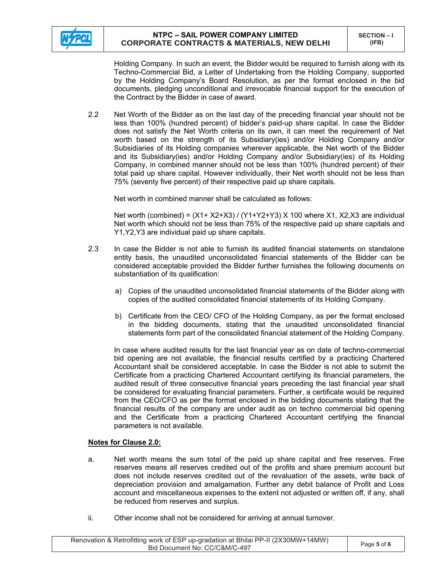

Holding Company. In such an event, the Bidder would be required to furnish along with its Techno-Commercial Bid, a Letter of Undertaking from the Holding Company, supported by the Holding Company's Board Resolution, as per the format enclosed in the bid documents, pledging unconditional and irrevocable financial support for the execution of the Contract by the Bidder in case of award.

2.2 Net Worth of the Bidder as on the last day of the preceding financial year should not be less than 100% (hundred percent) of bidder's paid-up share capital. In case the Bidder does not satisfy the Net Worth criteria on its own, it can meet the requirement of Net worth based on the strength of its Subsidiary(ies) and/or Holding Company and/or Subsidiaries of its Holding companies wherever applicable, the Net worth of the Bidder and its Subsidiary(ies) and/or Holding Company and/or Subsidiary(ies) of its Holding Company, in combined manner should not be less than 100% (hundred percent) of their total paid up share capital. However individually, their Net worth should not be less than 75% (seventy five percent) of their respective paid up share capitals.

Net worth in combined manner shall be calculated as follows:

Net worth (combined) =  $(X1+X2+X3) / (Y1+Y2+Y3) X 100$  where  $X1, X2, X3$  are individual Net worth which should not be less than 75% of the respective paid up share capitals and Y1,Y2,Y3 are individual paid up share capitals.

- 2.3 In case the Bidder is not able to furnish its audited financial statements on standalone entity basis, the unaudited unconsolidated financial statements of the Bidder can be considered acceptable provided the Bidder further furnishes the following documents on substantiation of its qualification:
	- a) Copies of the unaudited unconsolidated financial statements of the Bidder along with copies of the audited consolidated financial statements of its Holding Company.
	- b) Certificate from the CEO/ CFO of the Holding Company, as per the format enclosed in the bidding documents, stating that the unaudited unconsolidated financial statements form part of the consolidated financial statement of the Holding Company.

In case where audited results for the last financial year as on date of techno-commercial bid opening are not available, the financial results certified by a practicing Chartered Accountant shall be considered acceptable. In case the Bidder is not able to submit the Certificate from a practicing Chartered Accountant certifying its financial parameters, the audited result of three consecutive financial years preceding the last financial year shall be considered for evaluating financial parameters. Further, a certificate would be required from the CEO/CFO as per the format enclosed in the bidding documents stating that the financial results of the company are under audit as on techno commercial bid opening and the Certificate from a practicing Chartered Accountant certifying the financial parameters is not available.

## **Notes for Clause 2.0:**

- a. Net worth means the sum total of the paid up share capital and free reserves. Free reserves means all reserves credited out of the profits and share premium account but does not include reserves credited out of the revaluation of the assets, write back of depreciation provision and amalgamation. Further any debit balance of Profit and Loss account and miscellaneous expenses to the extent not adjusted or written off, if any, shall be reduced from reserves and surplus.
- ii. Other income shall not be considered for arriving at annual turnover.